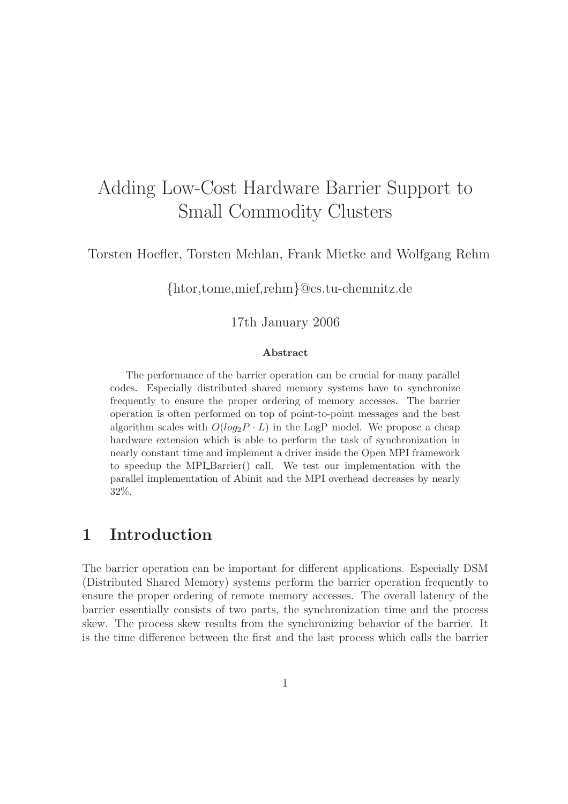# Adding Low-Cost Hardware Barrier Support to Small Commodity Clusters

Torsten Hoefler, Torsten Mehlan, Frank Mietke and Wolfgang Rehm

{htor,tome,mief,rehm}@cs.tu-chemnitz.de

#### 17th January 2006

#### Abstract

The performance of the barrier operation can be crucial for many parallel codes. Especially distributed shared memory systems have to synchronize frequently to ensure the proper ordering of memory accesses. The barrier operation is often performed on top of point-to-point messages and the best algorithm scales with  $O(log_2P \cdot L)$  in the LogP model. We propose a cheap hardware extension which is able to perform the task of synchronization in nearly constant time and implement a driver inside the Open MPI framework to speedup the MPI<sub>-Barrier</sub>() call. We test our implementation with the parallel implementation of Abinit and the MPI overhead decreases by nearly 32%.

## 1 Introduction

The barrier operation can be important for different applications. Especially DSM (Distributed Shared Memory) systems perform the barrier operation frequently to ensure the proper ordering of remote memory accesses. The overall latency of the barrier essentially consists of two parts, the synchronization time and the process skew. The process skew results from the synchronizing behavior of the barrier. It is the time difference between the first and the last process which calls the barrier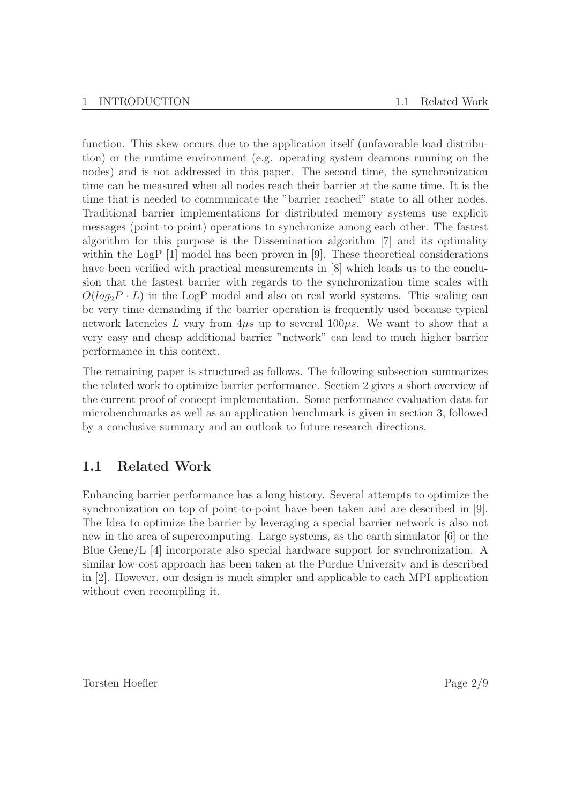function. This skew occurs due to the application itself (unfavorable load distribution) or the runtime environment (e.g. operating system deamons running on the nodes) and is not addressed in this paper. The second time, the synchronization time can be measured when all nodes reach their barrier at the same time. It is the time that is needed to communicate the "barrier reached" state to all other nodes. Traditional barrier implementations for distributed memory systems use explicit messages (point-to-point) operations to synchronize among each other. The fastest algorithm for this purpose is the Dissemination algorithm [7] and its optimality within the LogP [1] model has been proven in [9]. These theoretical considerations have been verified with practical measurements in [8] which leads us to the conclusion that the fastest barrier with regards to the synchronization time scales with  $O(log_2P \cdot L)$  in the LogP model and also on real world systems. This scaling can be very time demanding if the barrier operation is frequently used because typical network latencies L vary from  $4\mu s$  up to several  $100\mu s$ . We want to show that a very easy and cheap additional barrier "network" can lead to much higher barrier performance in this context.

The remaining paper is structured as follows. The following subsection summarizes the related work to optimize barrier performance. Section 2 gives a short overview of the current proof of concept implementation. Some performance evaluation data for microbenchmarks as well as an application benchmark is given in section 3, followed by a conclusive summary and an outlook to future research directions.

### 1.1 Related Work

Enhancing barrier performance has a long history. Several attempts to optimize the synchronization on top of point-to-point have been taken and are described in [9]. The Idea to optimize the barrier by leveraging a special barrier network is also not new in the area of supercomputing. Large systems, as the earth simulator [6] or the Blue Gene/L [4] incorporate also special hardware support for synchronization. A similar low-cost approach has been taken at the Purdue University and is described in [2]. However, our design is much simpler and applicable to each MPI application without even recompiling it.

Torsten Hoefler Page 2/9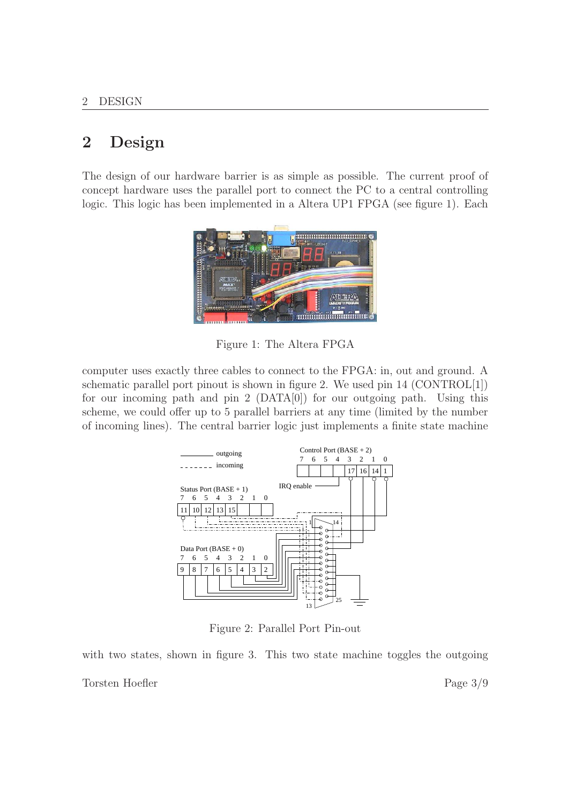## 2 Design

The design of our hardware barrier is as simple as possible. The current proof of concept hardware uses the parallel port to connect the PC to a central controlling logic. This logic has been implemented in a Altera UP1 FPGA (see figure 1). Each



Figure 1: The Altera FPGA

computer uses exactly three cables to connect to the FPGA: in, out and ground. A schematic parallel port pinout is shown in figure 2. We used pin 14 (CONTROL[1]) for our incoming path and pin 2  $(DATA[0])$  for our outgoing path. Using this scheme, we could offer up to 5 parallel barriers at any time (limited by the number of incoming lines). The central barrier logic just implements a finite state machine



Figure 2: Parallel Port Pin-out

with two states, shown in figure 3. This two state machine toggles the outgoing

Torsten Hoefler Page 3/9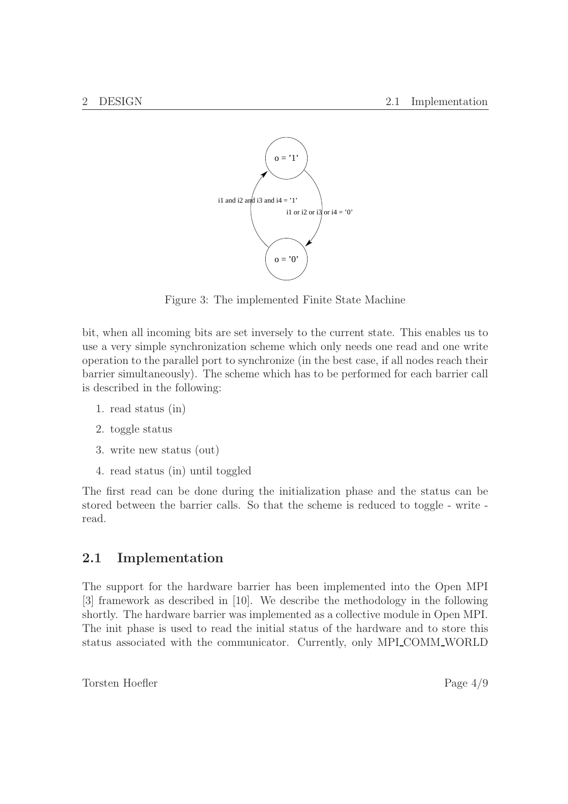

Figure 3: The implemented Finite State Machine

bit, when all incoming bits are set inversely to the current state. This enables us to use a very simple synchronization scheme which only needs one read and one write operation to the parallel port to synchronize (in the best case, if all nodes reach their barrier simultaneously). The scheme which has to be performed for each barrier call is described in the following:

- 1. read status (in)
- 2. toggle status
- 3. write new status (out)
- 4. read status (in) until toggled

The first read can be done during the initialization phase and the status can be stored between the barrier calls. So that the scheme is reduced to toggle - write read.

### 2.1 Implementation

The support for the hardware barrier has been implemented into the Open MPI [3] framework as described in [10]. We describe the methodology in the following shortly. The hardware barrier was implemented as a collective module in Open MPI. The init phase is used to read the initial status of the hardware and to store this status associated with the communicator. Currently, only MPI COMM WORLD

Torsten Hoefler Page 4/9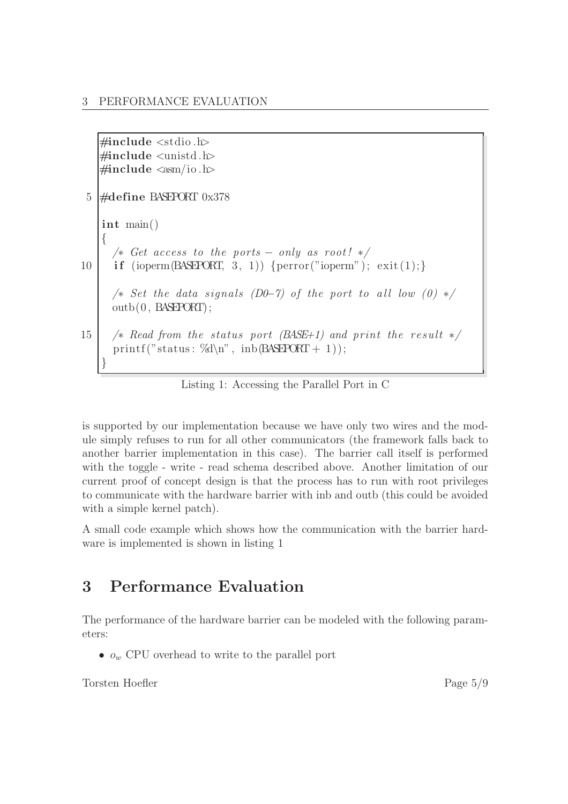```
\#include \ltstdio .h>
    \#include \leq unistd .h>
   \#includeinclude \langle \text{asm}/\text{io.h}\rangle5 \#define BASEPORT 0x378
    int main()
    {
      /\star Get access to the ports – only as root! \star/
10 if (ioperm(BASEPORT, 3, 1)) {perror("ioperm"); exit(1);}
      /\star Set the data signals (D0−7) of the port to all low (0) \star/
      outb(0, BASEPORT);
15 \frac{15}{15} /* Read from the status port (BASE+1) and print the result */
      printf ("status: \%\d\n", inb(BASEPORT + 1));
    }
```
Listing 1: Accessing the Parallel Port in C

is supported by our implementation because we have only two wires and the module simply refuses to run for all other communicators (the framework falls back to another barrier implementation in this case). The barrier call itself is performed with the toggle - write - read schema described above. Another limitation of our current proof of concept design is that the process has to run with root privileges to communicate with the hardware barrier with inb and outb (this could be avoided with a simple kernel patch).

A small code example which shows how the communication with the barrier hardware is implemented is shown in listing 1

## 3 Performance Evaluation

The performance of the hardware barrier can be modeled with the following parameters:

•  $o_w$  CPU overhead to write to the parallel port

Torsten Hoefler Page 5/9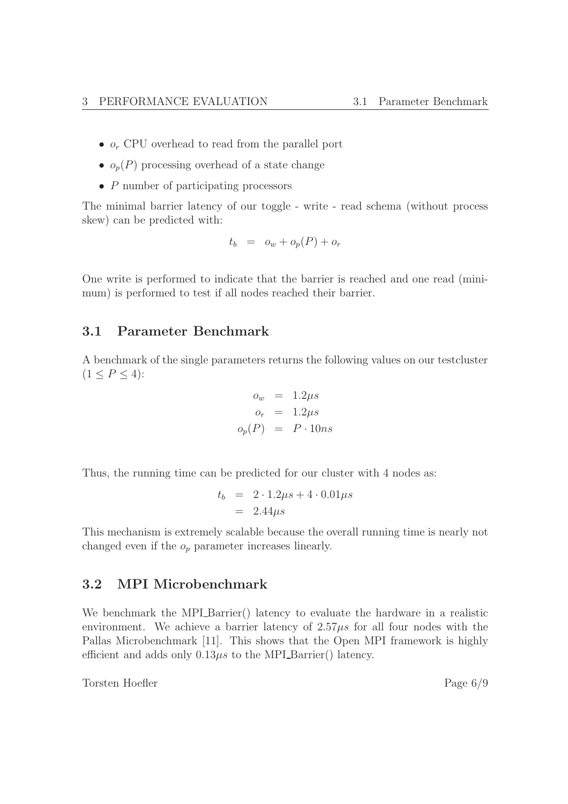- $o_r$  CPU overhead to read from the parallel port
- $o_p(P)$  processing overhead of a state change
- P number of participating processors

The minimal barrier latency of our toggle - write - read schema (without process skew) can be predicted with:

$$
t_b = o_w + o_p(P) + o_r
$$

One write is performed to indicate that the barrier is reached and one read (minimum) is performed to test if all nodes reached their barrier.

### 3.1 Parameter Benchmark

A benchmark of the single parameters returns the following values on our testcluster  $(1 \le P \le 4)$ :

$$
o_w = 1.2 \mu s
$$
  
\n
$$
o_r = 1.2 \mu s
$$
  
\n
$$
o_p(P) = P \cdot 10ns
$$

Thus, the running time can be predicted for our cluster with 4 nodes as:

$$
t_b = 2 \cdot 1.2 \mu s + 4 \cdot 0.01 \mu s
$$

$$
= 2.44 \mu s
$$

This mechanism is extremely scalable because the overall running time is nearly not changed even if the  $o_p$  parameter increases linearly.

### 3.2 MPI Microbenchmark

We benchmark the MPI\_Barrier() latency to evaluate the hardware in a realistic environment. We achieve a barrier latency of  $2.57\mu s$  for all four nodes with the Pallas Microbenchmark [11]. This shows that the Open MPI framework is highly efficient and adds only  $0.13\mu s$  to the MPI Barrier() latency.

Torsten Hoefler Page 6/9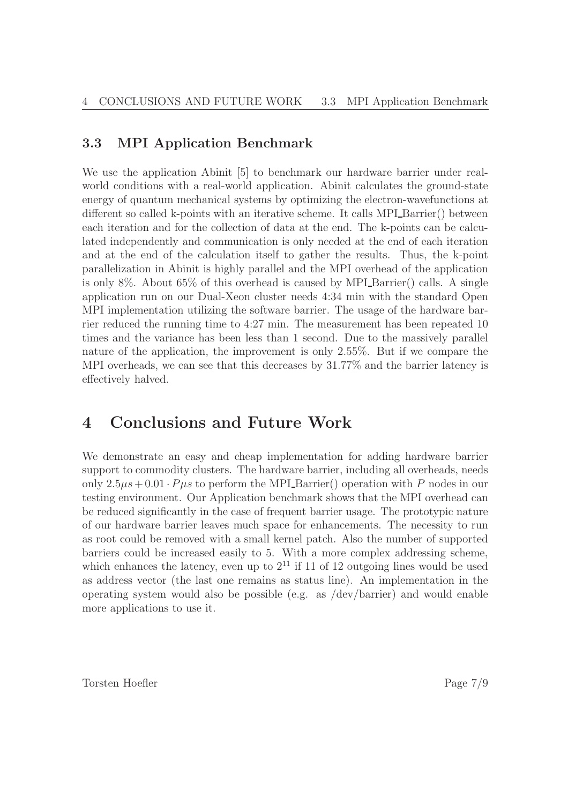### 3.3 MPI Application Benchmark

We use the application Abinit [5] to benchmark our hardware barrier under realworld conditions with a real-world application. Abinit calculates the ground-state energy of quantum mechanical systems by optimizing the electron-wavefunctions at different so called k-points with an iterative scheme. It calls MPI Barrier() between each iteration and for the collection of data at the end. The k-points can be calculated independently and communication is only needed at the end of each iteration and at the end of the calculation itself to gather the results. Thus, the k-point parallelization in Abinit is highly parallel and the MPI overhead of the application is only 8%. About  $65\%$  of this overhead is caused by MPI Barrier() calls. A single application run on our Dual-Xeon cluster needs 4:34 min with the standard Open MPI implementation utilizing the software barrier. The usage of the hardware barrier reduced the running time to 4:27 min. The measurement has been repeated 10 times and the variance has been less than 1 second. Due to the massively parallel nature of the application, the improvement is only 2.55%. But if we compare the MPI overheads, we can see that this decreases by 31.77% and the barrier latency is effectively halved.

## 4 Conclusions and Future Work

We demonstrate an easy and cheap implementation for adding hardware barrier support to commodity clusters. The hardware barrier, including all overheads, needs only  $2.5\mu s + 0.01 \cdot P\mu s$  to perform the MPI Barrier() operation with P nodes in our testing environment. Our Application benchmark shows that the MPI overhead can be reduced significantly in the case of frequent barrier usage. The prototypic nature of our hardware barrier leaves much space for enhancements. The necessity to run as root could be removed with a small kernel patch. Also the number of supported barriers could be increased easily to 5. With a more complex addressing scheme, which enhances the latency, even up to  $2^{11}$  if 11 of 12 outgoing lines would be used as address vector (the last one remains as status line). An implementation in the operating system would also be possible (e.g. as /dev/barrier) and would enable more applications to use it.

Torsten Hoefler Page 7/9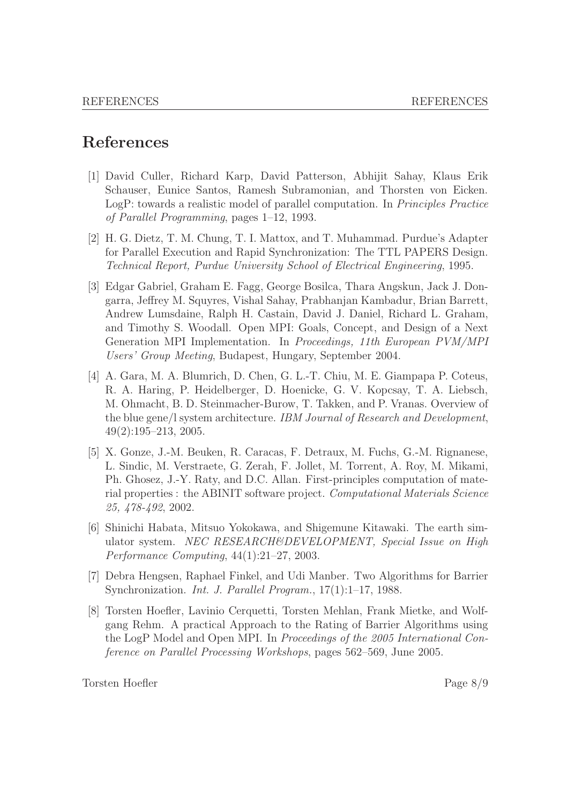## References

- [1] David Culler, Richard Karp, David Patterson, Abhijit Sahay, Klaus Erik Schauser, Eunice Santos, Ramesh Subramonian, and Thorsten von Eicken. LogP: towards a realistic model of parallel computation. In Principles Practice of Parallel Programming, pages 1–12, 1993.
- [2] H. G. Dietz, T. M. Chung, T. I. Mattox, and T. Muhammad. Purdue's Adapter for Parallel Execution and Rapid Synchronization: The TTL PAPERS Design. Technical Report, Purdue University School of Electrical Engineering, 1995.
- [3] Edgar Gabriel, Graham E. Fagg, George Bosilca, Thara Angskun, Jack J. Dongarra, Jeffrey M. Squyres, Vishal Sahay, Prabhanjan Kambadur, Brian Barrett, Andrew Lumsdaine, Ralph H. Castain, David J. Daniel, Richard L. Graham, and Timothy S. Woodall. Open MPI: Goals, Concept, and Design of a Next Generation MPI Implementation. In Proceedings, 11th European PVM/MPI Users' Group Meeting, Budapest, Hungary, September 2004.
- [4] A. Gara, M. A. Blumrich, D. Chen, G. L.-T. Chiu, M. E. Giampapa P. Coteus, R. A. Haring, P. Heidelberger, D. Hoenicke, G. V. Kopcsay, T. A. Liebsch, M. Ohmacht, B. D. Steinmacher-Burow, T. Takken, and P. Vranas. Overview of the blue gene/l system architecture. IBM Journal of Research and Development, 49(2):195–213, 2005.
- [5] X. Gonze, J.-M. Beuken, R. Caracas, F. Detraux, M. Fuchs, G.-M. Rignanese, L. Sindic, M. Verstraete, G. Zerah, F. Jollet, M. Torrent, A. Roy, M. Mikami, Ph. Ghosez, J.-Y. Raty, and D.C. Allan. First-principles computation of material properties : the ABINIT software project. Computational Materials Science 25, 478-492, 2002.
- [6] Shinichi Habata, Mitsuo Yokokawa, and Shigemune Kitawaki. The earth simulator system. NEC RESEARCH&DEVELOPMENT, Special Issue on High Performance Computing, 44(1):21–27, 2003.
- [7] Debra Hengsen, Raphael Finkel, and Udi Manber. Two Algorithms for Barrier Synchronization. Int. J. Parallel Program., 17(1):1–17, 1988.
- [8] Torsten Hoefler, Lavinio Cerquetti, Torsten Mehlan, Frank Mietke, and Wolfgang Rehm. A practical Approach to the Rating of Barrier Algorithms using the LogP Model and Open MPI. In Proceedings of the 2005 International Conference on Parallel Processing Workshops, pages 562–569, June 2005.

Torsten Hoefler Page 8/9